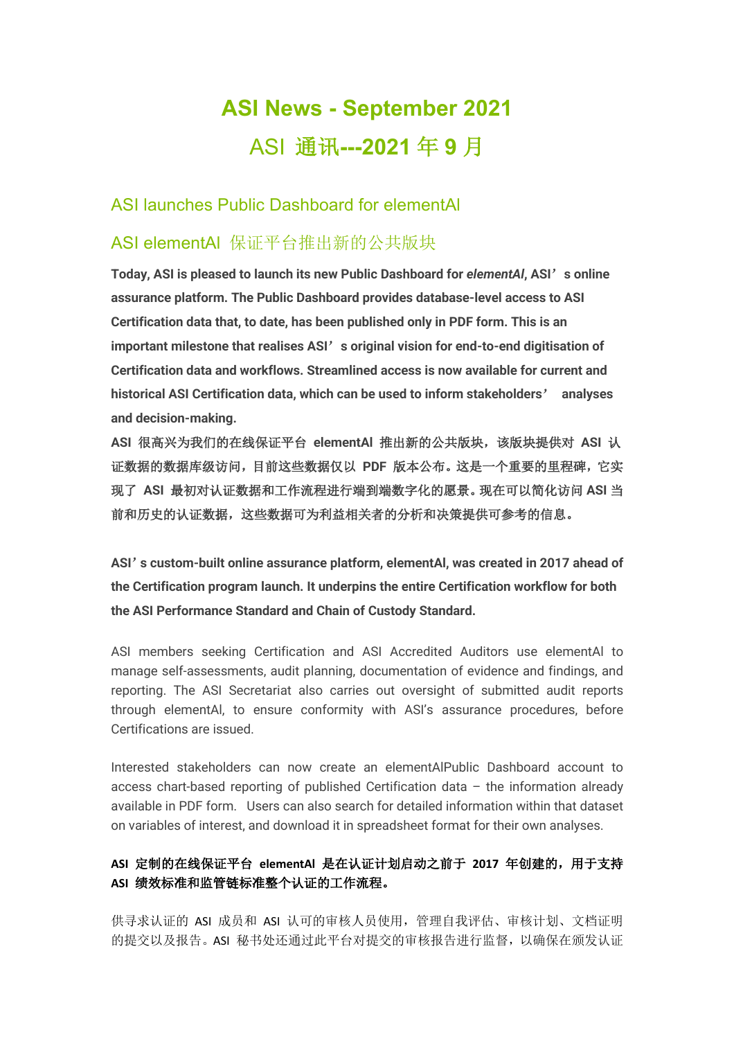# **ASI News - September 2021** ASI 通讯**---2021** 年 **9** 月

### ASI launches Public Dashboard for elementAl

## ASI elementAl 保证平台推出新的公共版块

**Today, ASI is pleased to launch its new Public Dashboard for** *elementAl***, ASI**'**s online assurance platform. The Public Dashboard provides database-level access to ASI Certification data that, to date, has been published only in PDF form. This is an important milestone that realises ASI**'**s original vision for end-to-end digitisation of Certification data and workflows. Streamlined access is now available for current and historical ASI Certification data, which can be used to inform stakeholders**' **analyses and decision-making.** 

**ASI** 很高兴为我们的在线保证平台 **elementAl** 推出新的公共版块,该版块提供对 **ASI** 认 证数据的数据库级访问,目前这些数据仅以 **PDF** 版本公布。这是一个重要的里程碑,它实 现了 **ASI** 最初对认证数据和工作流程进行端到端数字化的愿景。现在可以简化访问 **ASI** 当 前和历史的认证数据,这些数据可为利益相关者的分析和决策提供可参考的信息。

**ASI**'**s custom-built online assurance platform, elementAl, was created in 2017 ahead of the Certification program launch. It underpins the entire Certification workflow for both the ASI Performance Standard and Chain of Custody Standard.**

ASI members seeking Certification and ASI Accredited Auditors use elementAl to manage self-assessments, audit planning, documentation of evidence and findings, and reporting. The ASI Secretariat also carries out oversight of submitted audit reports through elementAl, to ensure conformity with ASI's assurance procedures, before Certifications are issued.

Interested stakeholders can now create an elementAlPublic Dashboard account to access chart-based reporting of published Certification data – the information already available in PDF form. Users can also search for detailed information within that dataset on variables of interest, and download it in spreadsheet format for their own analyses.

#### **ASI** 定制的在线保证平台 **elementAl** 是在认证计划启动之前于 **2017** 年创建的,用于支持 **ASI** 绩效标准和监管链标准整个认证的工作流程。

供寻求认证的 ASI 成员和 ASI 认可的审核人员使用,管理自我评估、审核计划、文档证明 的提交以及报告。ASI 秘书处还通过此平台对提交的审核报告进行监督,以确保在颁发认证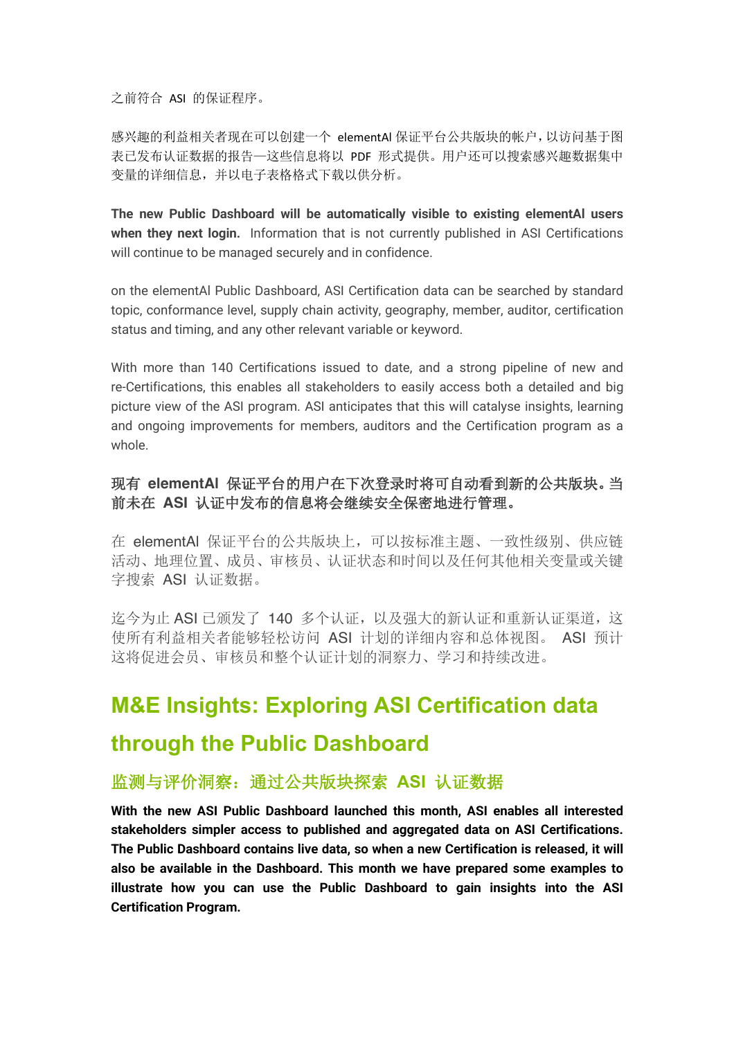之前符合 ASI 的保证程序。

感兴趣的利益相关者现在可以创建一个 elementAl 保证平台公共版块的帐户,以访问基于图 表已发布认证数据的报告—这些信息将以 PDF 形式提供。用户还可以搜索感兴趣数据集中 变量的详细信息,并以电子表格格式下载以供分析。

**The new Public Dashboard will be automatically visible to existing elementAl users when they next login.** Information that is not currently published in ASI Certifications will continue to be managed securely and in confidence.

on the elementAl Public Dashboard, ASI Certification data can be searched by standard topic, conformance level, supply chain activity, geography, member, auditor, certification status and timing, and any other relevant variable or keyword.

With more than 140 Certifications issued to date, and a strong pipeline of new and re-Certifications, this enables all stakeholders to easily access both a detailed and big picture view of the ASI program. ASI anticipates that this will catalyse insights, learning and ongoing improvements for members, auditors and the Certification program as a whole.

#### 现有 **elementAl** 保证平台的用户在下次登录时将可自动看到新的公共版块。当 前未在 **ASI** 认证中发布的信息将会继续安全保密地进行管理。

在 elementAl 保证平台的公共版块上,可以按标准主题、一致性级别、供应链 活动、地理位置、成员、审核员、认证状态和时间以及任何其他相关变量或关键 字搜索 ASI 认证数据。

迄今为止 ASI 已颁发了 140 多个认证,以及强大的新认证和重新认证渠道,这 使所有利益相关者能够轻松访问 ASI 计划的详细内容和总体视图。 ASI 预计 这将促进会员、审核员和整个认证计划的洞察力、学习和持续改进。

# **M&E Insights: Exploring ASI Certification data**

## **through the Public Dashboard**

### 监测与评价洞察:通过公共版块探索 **ASI** 认证数据

**With the new ASI Public Dashboard launched this month, ASI enables all interested stakeholders simpler access to published and aggregated data on ASI Certifications. The Public Dashboard contains live data, so when a new Certification is released, it will also be available in the Dashboard. This month we have prepared some examples to illustrate how you can use the Public Dashboard to gain insights into the ASI Certification Program.**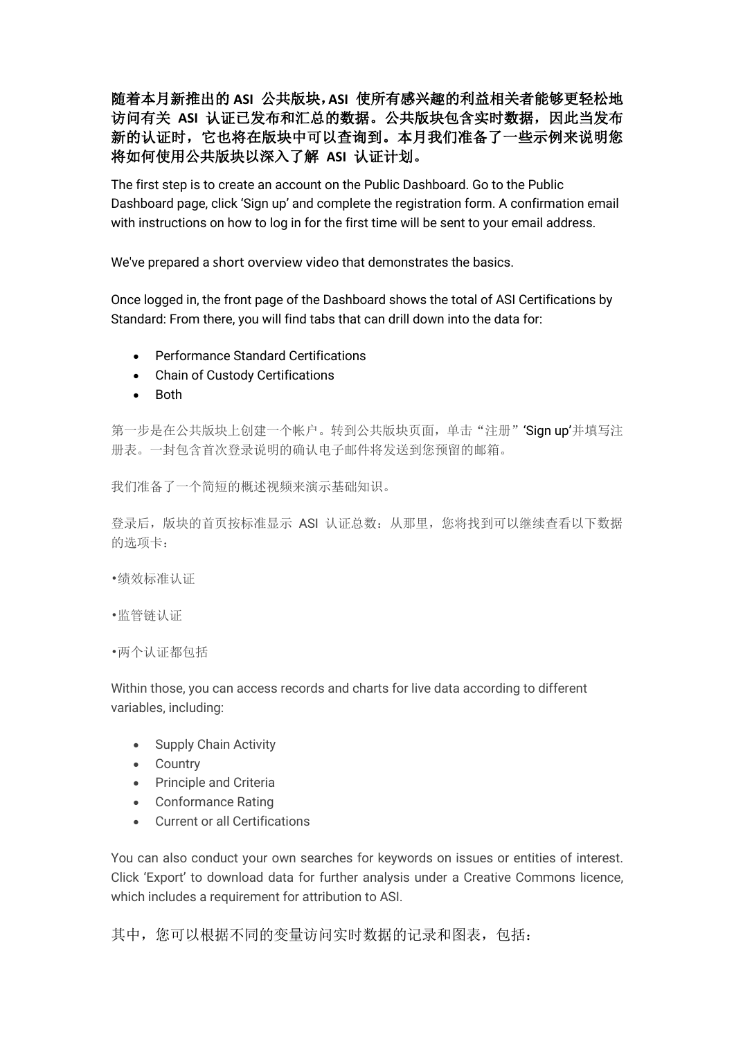随着本月新推出的 **ASI** 公共版块,**ASI** 使所有感兴趣的利益相关者能够更轻松地 访问有关 **ASI** 认证已发布和汇总的数据。公共版块包含实时数据,因此当发布 新的认证时,它也将在版块中可以查询到。本月我们准备了一些示例来说明您 将如何使用公共版块以深入了解 **ASI** 认证计划。

The first step is to create an account on the Public Dashboard. Go to the Public Dashboard page, click 'Sign up' and complete the registration form. A confirmation email with instructions on how to log in for the first time will be sent to your email address.

We've prepared a short overview video that demonstrates the basics.

Once logged in, the front page of the Dashboard shows the total of ASI Certifications by Standard: From there, you will find tabs that can drill down into the data for:

- Performance Standard Certifications
- Chain of Custody Certifications
- Both

第一步是在公共版块上创建一个帐户。转到公共版块页面,单击"注册"'Sign up'并填写注 册表。一封包含首次登录说明的确认电子邮件将发送到您预留的邮箱。

我们准备了一个简短的概述视频来演示基础知识。

登录后,版块的首页按标准显示 ASI 认证总数: 从那里, 您将找到可以继续查看以下数据 的选项卡:

- •绩效标准认证
- •监管链认证
- •两个认证都包括

Within those, you can access records and charts for live data according to different variables, including:

- Supply Chain Activity
- Country
- Principle and Criteria
- Conformance Rating
- Current or all Certifications

You can also conduct your own searches for keywords on issues or entities of interest. Click 'Export' to download data for further analysis under a Creative Commons licence, which includes a requirement for attribution to ASI.

其中,您可以根据不同的变量访问实时数据的记录和图表, 包括: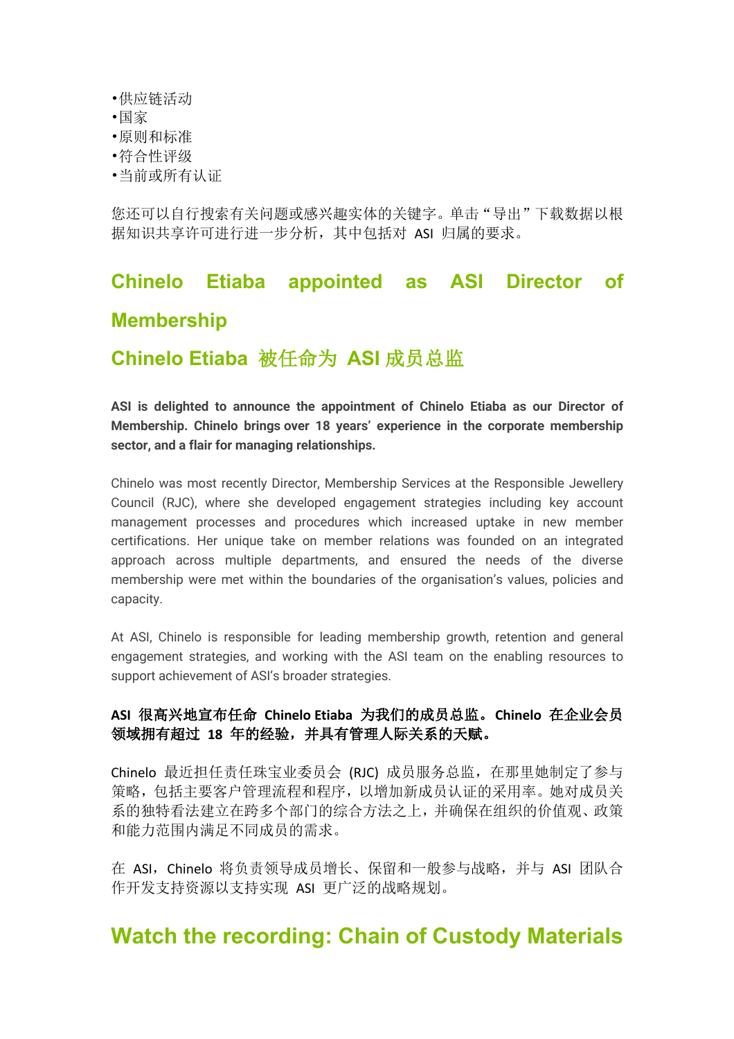- •供应链活动
- •国家
- •原则和标准
- •符合性评级
- •当前或所有认证

您还可以自行搜索有关问题或感兴趣实体的关键字。单击"导出"下载数据以根 据知识共享许可进行进一步分析,其中包括对 ASI 归属的要求。

# **Chinelo Etiaba appointed as ASI Director of Membership**

## **Chinelo Etiaba** 被任命为 **ASI** 成员总监

**ASI is delighted to announce the appointment of Chinelo Etiaba as our Director of Membership. Chinelo brings over 18 years' experience in the corporate membership sector, and a flair for managing relationships.**

Chinelo was most recently Director, Membership Services at the Responsible Jewellery Council (RJC), where she developed engagement strategies including key account management processes and procedures which increased uptake in new member certifications. Her unique take on member relations was founded on an integrated approach across multiple departments, and ensured the needs of the diverse membership were met within the boundaries of the organisation's values, policies and capacity.

At ASI, Chinelo is responsible for leading membership growth, retention and general engagement strategies, and working with the ASI team on the enabling resources to support achievement of ASI's broader strategies.

#### **ASI** 很高兴地宣布任命 **Chinelo Etiaba** 为我们的成员总监。**Chinelo** 在企业会员 领域拥有超过 **18** 年的经验,并具有管理人际关系的天赋。

Chinelo 最近担任责任珠宝业委员会 (RJC) 成员服务总监,在那里她制定了参与 策略,包括主要客户管理流程和程序,以增加新成员认证的采用率。她对成员关 系的独特看法建立在跨多个部门的综合方法之上,并确保在组织的价值观、政策 和能力范围内满足不同成员的需求。

在 ASI, Chinelo 将负责领导成员增长、保留和一般参与战略, 并与 ASI 团队合 作开发支持资源以支持实现 ASI 更广泛的战略规划。

## **Watch the recording: Chain of Custody Materials**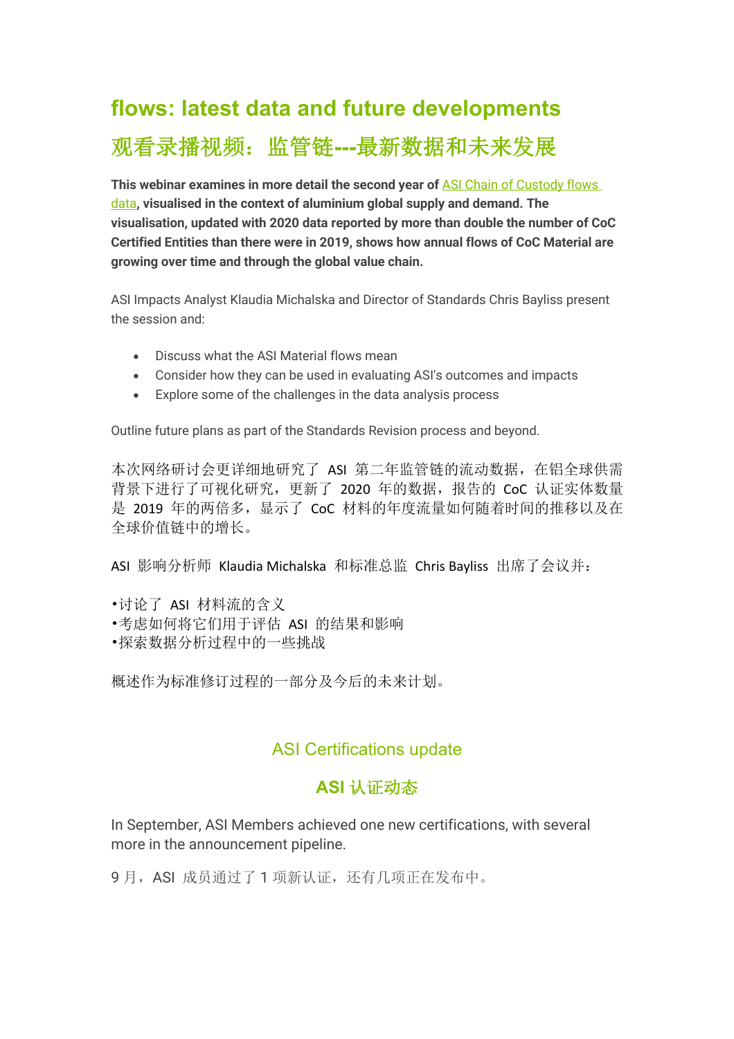# **flows: latest data and future developments** 观看录播视频:监管链**---**最新数据和未来发展

**This webinar examines in more detail the second year of** ASI Chain of Custody flows data**, visualised in the context of aluminium global supply and demand. The visualisation, updated with 2020 data reported by more than double the number of CoC Certified Entities than there were in 2019, shows how annual flows of CoC Material are growing over time and through the global value chain.**

ASI Impacts Analyst Klaudia Michalska and Director of Standards Chris Bayliss present the session and:

- Discuss what the ASI Material flows mean
- Consider how they can be used in evaluating ASI's outcomes and impacts
- Explore some of the challenges in the data analysis process

Outline future plans as part of the Standards Revision process and beyond.

本次网络研讨会更详细地研究了 ASI 第二年监管链的流动数据,在铝全球供需 背景下进行了可视化研究,更新了 2020 年的数据,报告的 CoC 认证实体数量 是 2019 年的两倍多, 显示了 CoC 材料的年度流量如何随着时间的推移以及在 全球价值链中的增长。

ASI 影响分析师 Klaudia Michalska 和标准总监 Chris Bayliss 出席了会议并:

•讨论了 ASI 材料流的含义

- •考虑如何将它们用于评估 ASI 的结果和影响
- •探索数据分析过程中的一些挑战

概述作为标准修订过程的一部分及今后的未来计划。

### ASI Certifications update

## **ASI** 认证动态

In September, ASI Members achieved one new certifications, with several more in the announcement pipeline.

9月, ASI 成员通过了 1 项新认证,还有几项正在发布中。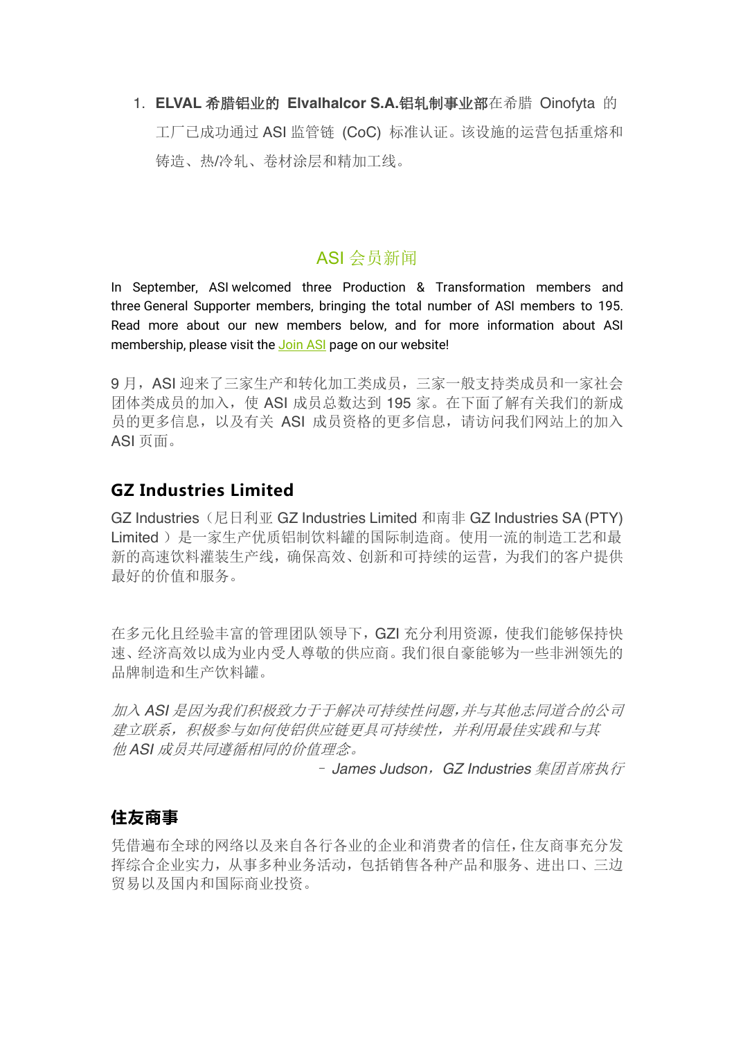1. **ELVAL** 希腊铝业的 **Elvalhalcor S.A.**铝轧制事业部在希腊 Oinofyta 的 工厂已成功通过 ASI 监管链 (CoC) 标准认证。该设施的运营包括重熔和 铸造、热/冷轧、卷材涂层和精加工线。

## ASI 会员新闻

In September, ASI welcomed three Production & Transformation members and three General Supporter members, bringing the total number of ASI members to 195. Read more about our new members below, and for more information about ASI membership, please visit the Join ASI page on our website!

9月, ASI 迎来了三家生产和转化加工类成员,三家一般支持类成员和一家社会 团体类成员的加入,使 ASI 成员总数达到 195 家。在下面了解有关我们的新成 员的更多信息,以及有关 ASI 成员资格的更多信息,请访问我们网站上的加入 ASI 页面。

## **GZ Industries Limited**

GZ Industries(尼日利亚 GZ Industries Limited 和南非 GZ Industries SA (PTY) Limited)是一家生产优质铝制饮料罐的国际制造商。使用一流的制造工艺和最 新的高速饮料灌装生产线,确保高效、创新和可持续的运营,为我们的客户提供 最好的价值和服务。

在多元化且经验丰富的管理团队领导下,GZI 充分利用资源,使我们能够保持快 速、经济高效以成为业内受人尊敬的供应商。我们很自豪能够为一些非洲领先的 品牌制造和生产饮料罐。

加入 *ASI* 是因为我们积极致力于于解决可持续性问题,并与其他志同道合的公司 建立联系,积极参与如何使铝供应链更具可持续性,并利用最佳实践和与其 他 *ASI* 成员共同遵循相同的价值理念。

– *James Judson*,*GZ Industries* 集团首席执行

### **住友商事**

凭借遍布全球的网络以及来自各行各业的企业和消费者的信任,住友商事充分发 挥综合企业实力,从事多种业务活动,包括销售各种产品和服务、进出口、三边 贸易以及国内和国际商业投资。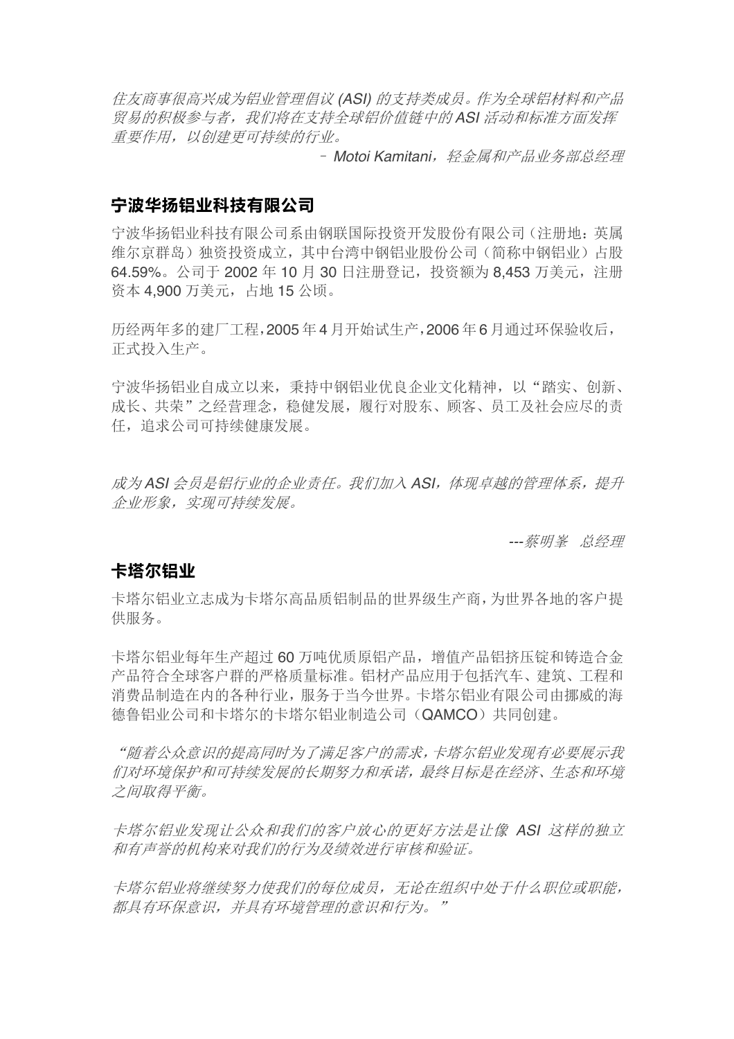住友商事很高兴成为铝业管理倡议 *(ASI)* 的支持类成员。作为全球铝材料和产品 贸易的积极参与者,我们将在支持全球铝价值链中的 *ASI* 活动和标准方面发挥 重要作用,以创建更可持续的行业。

- Motoi Kamitani*,轻金属和产品业务部总经理* 

#### **宁波华扬铝业科技有限公司**

宁波华扬铝业科技有限公司系由钢联国际投资开发股份有限公司(注册地:英属 维尔京群岛)独资投资成立,其中台湾中钢铝业股份公司(简称中钢铝业)占股 64.59%。公司于 2002 年 10 月 30 日注册登记,投资额为 8,453 万美元,注册 资本 4,900 万美元,占地 15 公顷。

历经两年多的建厂工程,2005 年 4 月开始试生产,2006 年 6 月通过环保验收后, 正式投入生产。

宁波华扬铝业自成立以来,秉持中钢铝业优良企业文化精神,以"踏实、创新、 成长、共荣"之经营理念,稳健发展,履行对股东、顾客、员工及社会应尽的责 任,追求公司可持续健康发展。

成为 *ASI* 会员是铝行业的企业责任。我们加入 *ASI*,体现卓越的管理体系,提升 企业形象,实现可持续发展。

*---*蔡明峯 总经理

#### **卡塔尔铝业**

卡塔尔铝业立志成为卡塔尔高品质铝制品的世界级生产商,为世界各地的客户提 供服务。

卡塔尔铝业每年生产超过 60 万吨优质原铝产品,增值产品铝挤压锭和铸造合金 产品符合全球客户群的严格质量标准。铝材产品应用于包括汽车、建筑、工程和 消费品制造在内的各种行业,服务于当今世界。卡塔尔铝业有限公司由挪威的海 德鲁铝业公司和卡塔尔的卡塔尔铝业制造公司(QAMCO)共同创建。

"随着公众意识的提高同时为了满足客户的需求,卡塔尔铝业发现有必要展示我 们对环境保护和可持续发展的长期努力和承诺,最终目标是在经济、生态和环境 之间取得平衡。

卡塔尔铝业发现让公众和我们的客户放心的更好方法是让像 *ASI* 这样的独立 和有声誉的机构来对我们的行为及绩效进行审核和验证。

卡塔尔铝业将继续努力使我们的每位成员,无论在组织中处于什么职位或职能, 都具有环保意识,并具有环境管理的意识和行为。"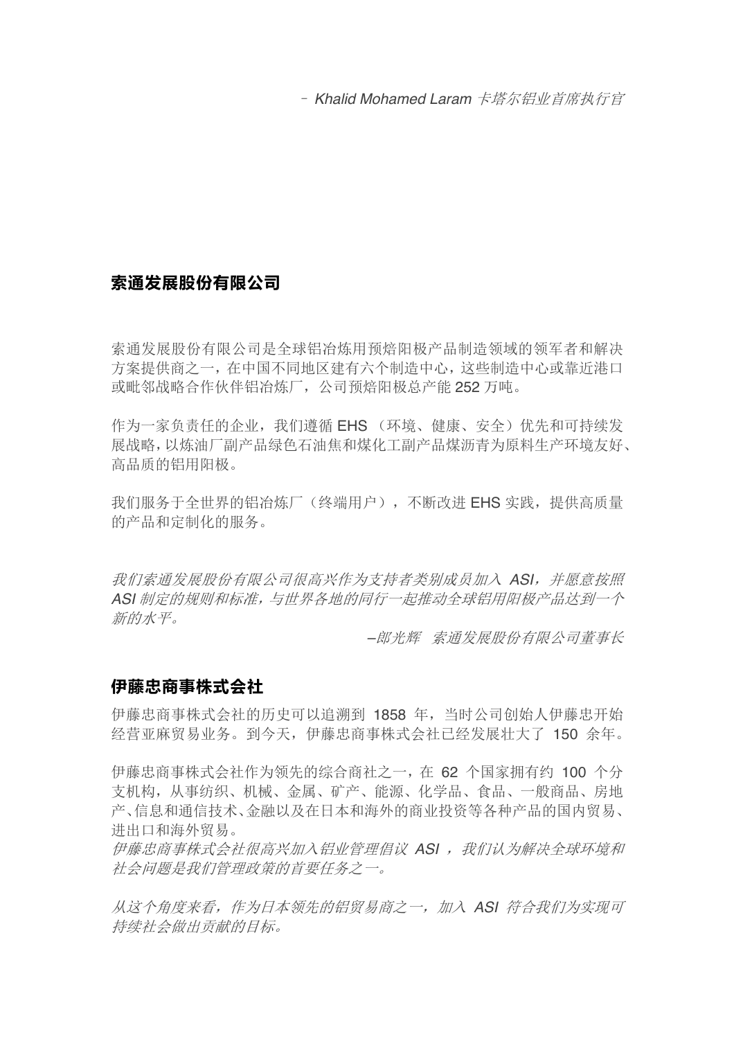– *Khalid Mohamed Laram* 卡塔尔铝业首席执行官

### **索通发展股份有限公司**

索通发展股份有限公司是全球铝冶炼用预焙阳极产品制造领域的领军者和解决 方案提供商之一,在中国不同地区建有六个制造中心,这些制造中心或靠近港口 或毗邻战略合作伙伴铝冶炼厂,公司预焙阳极总产能 252 万吨。

作为一家负责任的企业,我们遵循 EHS (环境、健康、安全)优先和可持续发 展战略,以炼油厂副产品绿色石油焦和煤化工副产品煤沥青为原料生产环境友好、 高品质的铝用阳极。

我们服务于全世界的铝冶炼厂(终端用户),不断改进 EHS 实践, 提供高质量 的产品和定制化的服务。

我们索通发展股份有限公司很高兴作为支持者类别成员加入 *ASI*,并愿意按照 *ASI* 制定的规则和标准,与世界各地的同行一起推动全球铝用阳极产品达到一个 新的水平。

*–*郎光辉 索通发展股份有限公司董事长

#### **伊藤忠商事株式会社**

伊藤忠商事株式会社的历史可以追溯到 1858 年,当时公司创始人伊藤忠开始 经营亚麻贸易业务。到今天,伊藤忠商事株式会社已经发展壮大了 150 余年。

伊藤忠商事株式会社作为领先的综合商社之一,在 62 个国家拥有约 100 个分 支机构,从事纺织、机械、金属、矿产、能源、化学品、食品、一般商品、房地 产、信息和通信技术、金融以及在日本和海外的商业投资等各种产品的国内贸易、 进出口和海外贸易。

伊藤忠商事株式会社很高兴加入铝业管理倡议 ASI , 我们认为解决全球环境和 社会问题是我们管理政策的首要任务之一。

从这个角度来看,作为日本领先的铝贸易商之一,加入 *ASI* 符合我们为实现可 持续社会做出贡献的目标。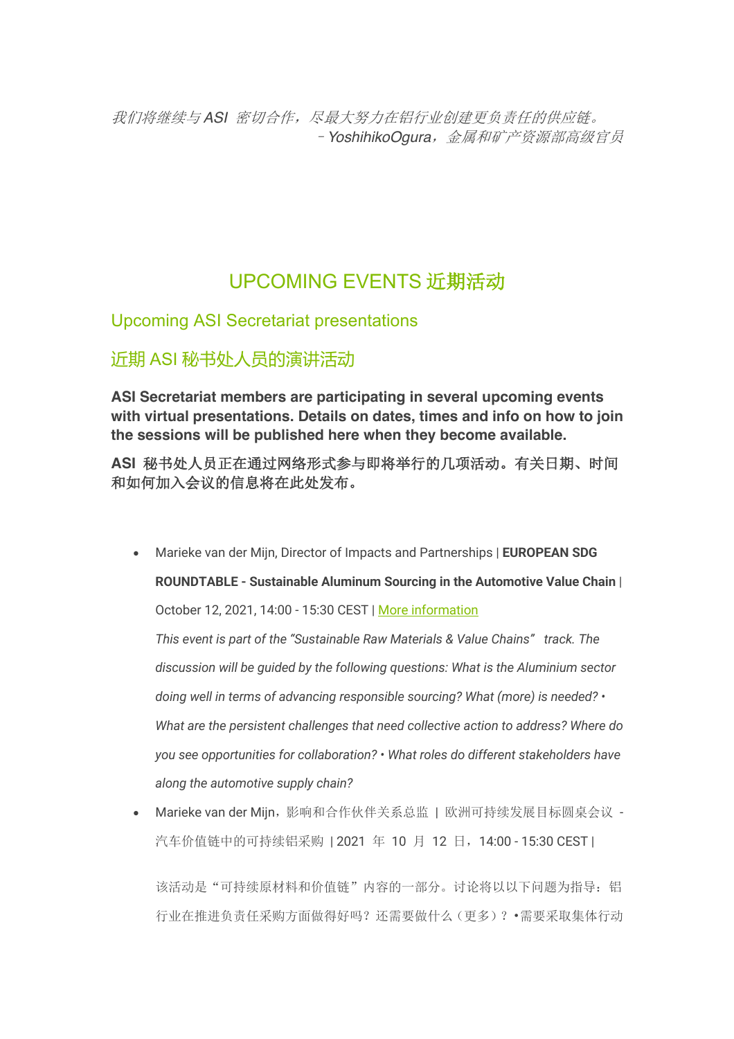我们将继续与ASI 密切合作,尽最大努力在铝行业创建更负责任的供应链。 –*YoshihikoOgura*,金属和矿产资源部高级官员

## UPCOMING EVENTS 近期活动

Upcoming ASI Secretariat presentations

近期 ASI 秘书处人员的演讲活动

**ASI Secretariat members are participating in several upcoming events with virtual presentations. Details on dates, times and info on how to join the sessions will be published here when they become available.**

**ASI** 秘书处人员正在通过网络形式参与即将举行的几项活动。有关日期、时间 和如何加入会议的信息将在此处发布。

• Marieke van der Mijn, Director of Impacts and Partnerships | **EUROPEAN SDG ROUNDTABLE - Sustainable Aluminum Sourcing in the Automotive Value Chain** | October 12, 2021, 14:00 - 15:30 CEST | More information

*This event is part of the "Sustainable Raw Materials & Value Chains" track. The discussion will be guided by the following questions: What is the Aluminium sector doing well in terms of advancing responsible sourcing? What (more) is needed? • What are the persistent challenges that need collective action to address? Where do you see opportunities for collaboration? • What roles do different stakeholders have along the automotive supply chain?*

• Marieke van der Mijn,影响和合作伙伴关系总监 | 欧洲可持续发展目标圆桌会议 - 汽车价值链中的可持续铝采购 | 2021 年 10 月 12 日, 14:00 - 15:30 CEST |

该活动是"可持续原材料和价值链"内容的一部分。讨论将以以下问题为指导:铝 行业在推进负责任采购方面做得好吗?还需要做什么(更多)?•需要采取集体行动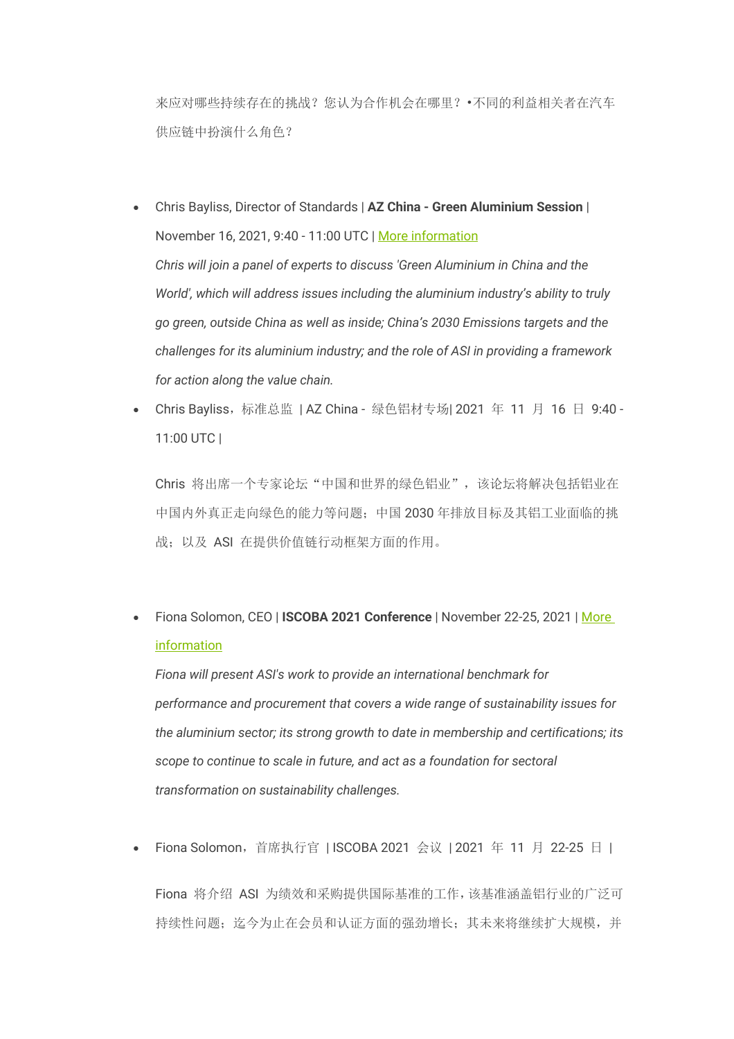来应对哪些持续存在的挑战?您认为合作机会在哪里?•不同的利益相关者在汽车 供应链中扮演什么角色?

- Chris Bayliss, Director of Standards | **AZ China - Green Aluminium Session** | November 16, 2021, 9:40 - 11:00 UTC | More information *Chris will join a panel of experts to discuss 'Green Aluminium in China and the World', which will address issues including the aluminium industry's ability to truly go green, outside China as well as inside; China's 2030 Emissions targets and the challenges for its aluminium industry; and the role of ASI in providing a framework for action along the value chain.*
- Chris Bayliss,标准总监 | AZ China 绿色铝材专场| 2021 年 11 月 16 日 9:40 11:00 UTC |

Chris 将出席一个专家论坛"中国和世界的绿色铝业",该论坛将解决包括铝业在 中国内外真正走向绿色的能力等问题;中国 2030 年排放目标及其铝工业面临的挑 战;以及 ASI 在提供价值链行动框架方面的作用。

• Fiona Solomon, CEO | **ISCOBA 2021 Conference** | November 22-25, 2021 | More information

*Fiona will present ASI's work to provide an international benchmark for performance and procurement that covers a wide range of sustainability issues for the aluminium sector; its strong growth to date in membership and certifications; its scope to continue to scale in future, and act as a foundation for sectoral transformation on sustainability challenges.*

• Fiona Solomon,首席执行官 | ISCOBA 2021 会议 | 2021 年 11 月 22-25 日 |

Fiona 将介绍 ASI 为绩效和采购提供国际基准的工作,该基准涵盖铝行业的广泛可 持续性问题;迄今为止在会员和认证方面的强劲增长;其未来将继续扩大规模,并